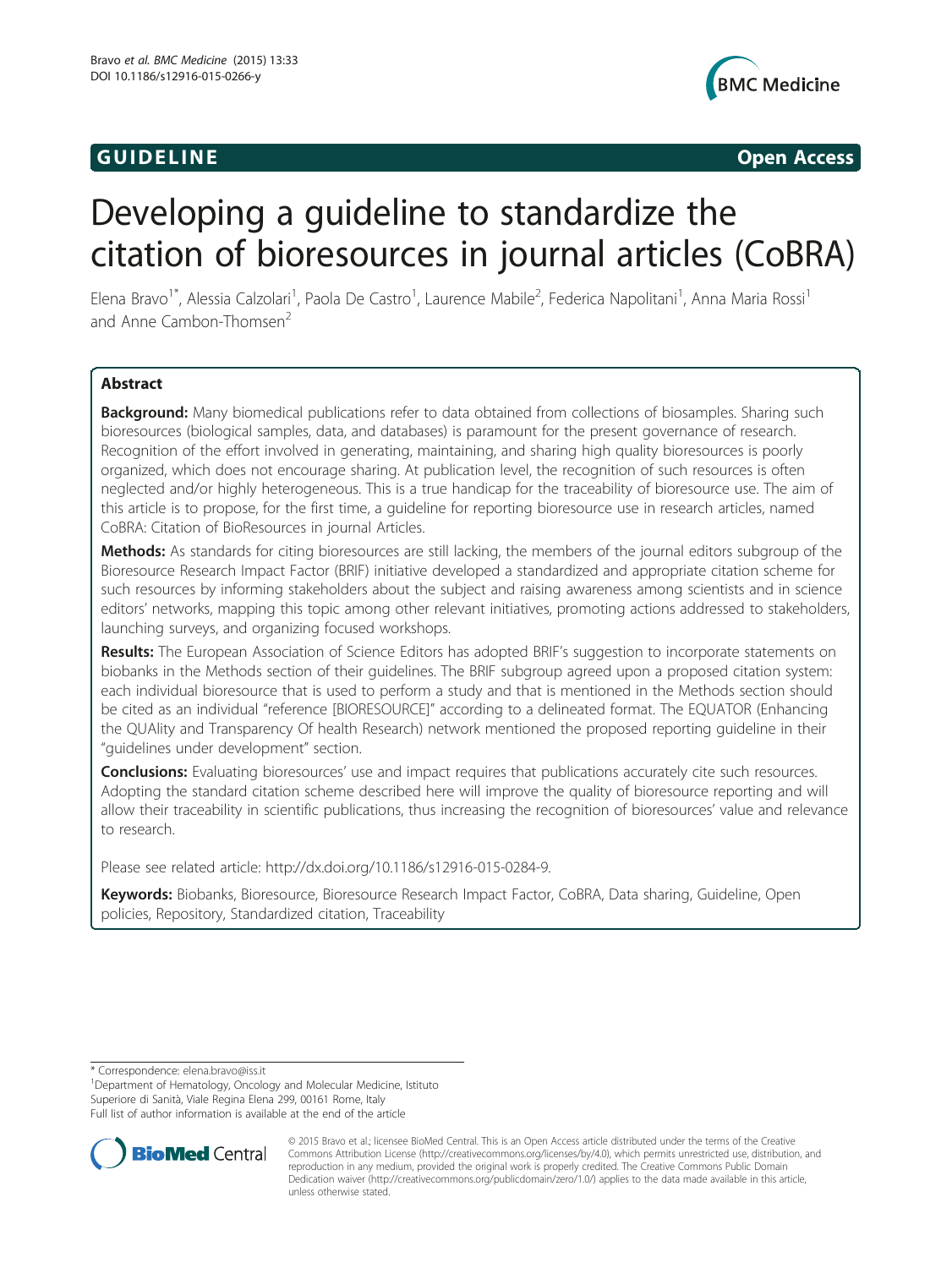# **GUIDELINE GUIDELINE CONSUMING A CONSUMING A CONSUMING A CONSUMING A CONSUMING A CONSUMING A CONSUMING A CONSUMING A CONSUMING A CONSUMING A CONSUMING A CONSUMING A CONSUMING A CONSUMING A CONSUMING A CONSUMING A CONSU**



# Developing a guideline to standardize the citation of bioresources in journal articles (CoBRA)

Elena Bravo<sup>1\*</sup>, Alessia Calzolari<sup>1</sup>, Paola De Castro<sup>1</sup>, Laurence Mabile<sup>2</sup>, Federica Napolitani<sup>1</sup>, Anna Maria Rossi<sup>1</sup> and Anne Cambon-Thomsen<sup>2</sup>

# **Abstract**

Background: Many biomedical publications refer to data obtained from collections of biosamples. Sharing such bioresources (biological samples, data, and databases) is paramount for the present governance of research. Recognition of the effort involved in generating, maintaining, and sharing high quality bioresources is poorly organized, which does not encourage sharing. At publication level, the recognition of such resources is often neglected and/or highly heterogeneous. This is a true handicap for the traceability of bioresource use. The aim of this article is to propose, for the first time, a guideline for reporting bioresource use in research articles, named CoBRA: Citation of BioResources in journal Articles.

Methods: As standards for citing bioresources are still lacking, the members of the journal editors subgroup of the Bioresource Research Impact Factor (BRIF) initiative developed a standardized and appropriate citation scheme for such resources by informing stakeholders about the subject and raising awareness among scientists and in science editors' networks, mapping this topic among other relevant initiatives, promoting actions addressed to stakeholders, launching surveys, and organizing focused workshops.

Results: The European Association of Science Editors has adopted BRIF's suggestion to incorporate statements on biobanks in the Methods section of their guidelines. The BRIF subgroup agreed upon a proposed citation system: each individual bioresource that is used to perform a study and that is mentioned in the Methods section should be cited as an individual "reference [BIORESOURCE]" according to a delineated format. The EQUATOR (Enhancing the QUAlity and Transparency Of health Research) network mentioned the proposed reporting guideline in their "guidelines under development" section.

**Conclusions:** Evaluating bioresources' use and impact requires that publications accurately cite such resources. Adopting the standard citation scheme described here will improve the quality of bioresource reporting and will allow their traceability in scientific publications, thus increasing the recognition of bioresources' value and relevance to research.

Please see related article:<http://dx.doi.org/10.1186/s12916-015-0284-9>.

Keywords: Biobanks, Bioresource, Bioresource Research Impact Factor, CoBRA, Data sharing, Guideline, Open policies, Repository, Standardized citation, Traceability

\* Correspondence: [elena.bravo@iss.it](mailto:elena.bravo@iss.it) <sup>1</sup>

<sup>1</sup>Department of Hematology, Oncology and Molecular Medicine, Istituto Superiore di Sanità, Viale Regina Elena 299, 00161 Rome, Italy

Full list of author information is available at the end of the article



<sup>© 2015</sup> Bravo et al.; licensee BioMed Central. This is an Open Access article distributed under the terms of the Creative Commons Attribution License [\(http://creativecommons.org/licenses/by/4.0\)](http://creativecommons.org/licenses/by/4.0), which permits unrestricted use, distribution, and reproduction in any medium, provided the original work is properly credited. The Creative Commons Public Domain Dedication waiver [\(http://creativecommons.org/publicdomain/zero/1.0/](http://creativecommons.org/publicdomain/zero/1.0/)) applies to the data made available in this article, unless otherwise stated.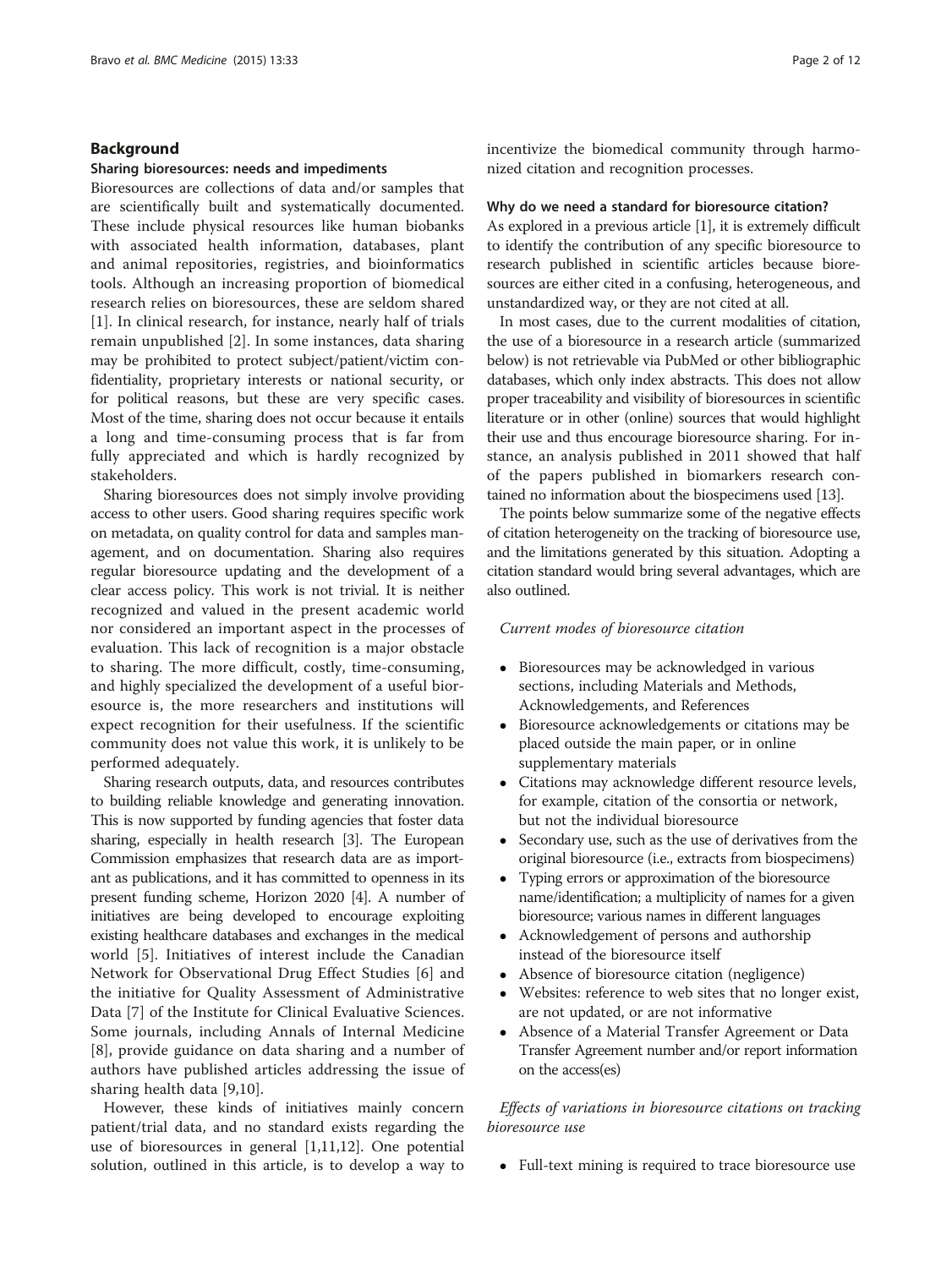#### Background

#### Sharing bioresources: needs and impediments

Bioresources are collections of data and/or samples that are scientifically built and systematically documented. These include physical resources like human biobanks with associated health information, databases, plant and animal repositories, registries, and bioinformatics tools. Although an increasing proportion of biomedical research relies on bioresources, these are seldom shared [[1\]](#page-10-0). In clinical research, for instance, nearly half of trials remain unpublished [\[2](#page-10-0)]. In some instances, data sharing may be prohibited to protect subject/patient/victim confidentiality, proprietary interests or national security, or for political reasons, but these are very specific cases. Most of the time, sharing does not occur because it entails a long and time-consuming process that is far from fully appreciated and which is hardly recognized by stakeholders.

Sharing bioresources does not simply involve providing access to other users. Good sharing requires specific work on metadata, on quality control for data and samples management, and on documentation. Sharing also requires regular bioresource updating and the development of a clear access policy. This work is not trivial. It is neither recognized and valued in the present academic world nor considered an important aspect in the processes of evaluation. This lack of recognition is a major obstacle to sharing. The more difficult, costly, time-consuming, and highly specialized the development of a useful bioresource is, the more researchers and institutions will expect recognition for their usefulness. If the scientific community does not value this work, it is unlikely to be performed adequately.

Sharing research outputs, data, and resources contributes to building reliable knowledge and generating innovation. This is now supported by funding agencies that foster data sharing, especially in health research [\[3\]](#page-10-0). The European Commission emphasizes that research data are as important as publications, and it has committed to openness in its present funding scheme, Horizon 2020 [[4](#page-10-0)]. A number of initiatives are being developed to encourage exploiting existing healthcare databases and exchanges in the medical world [[5\]](#page-10-0). Initiatives of interest include the Canadian Network for Observational Drug Effect Studies [\[6](#page-10-0)] and the initiative for Quality Assessment of Administrative Data [\[7](#page-10-0)] of the Institute for Clinical Evaluative Sciences. Some journals, including Annals of Internal Medicine [[8\]](#page-10-0), provide guidance on data sharing and a number of authors have published articles addressing the issue of sharing health data [[9,10\]](#page-10-0).

However, these kinds of initiatives mainly concern patient/trial data, and no standard exists regarding the use of bioresources in general [[1,11,12](#page-10-0)]. One potential solution, outlined in this article, is to develop a way to incentivize the biomedical community through harmonized citation and recognition processes.

#### Why do we need a standard for bioresource citation?

As explored in a previous article [\[1\]](#page-10-0), it is extremely difficult to identify the contribution of any specific bioresource to research published in scientific articles because bioresources are either cited in a confusing, heterogeneous, and unstandardized way, or they are not cited at all.

In most cases, due to the current modalities of citation, the use of a bioresource in a research article (summarized below) is not retrievable via PubMed or other bibliographic databases, which only index abstracts. This does not allow proper traceability and visibility of bioresources in scientific literature or in other (online) sources that would highlight their use and thus encourage bioresource sharing. For instance, an analysis published in 2011 showed that half of the papers published in biomarkers research contained no information about the biospecimens used [[13](#page-10-0)].

The points below summarize some of the negative effects of citation heterogeneity on the tracking of bioresource use, and the limitations generated by this situation. Adopting a citation standard would bring several advantages, which are also outlined.

#### Current modes of bioresource citation

- Bioresources may be acknowledged in various sections, including Materials and Methods, Acknowledgements, and References
- Bioresource acknowledgements or citations may be placed outside the main paper, or in online supplementary materials
- Citations may acknowledge different resource levels, for example, citation of the consortia or network, but not the individual bioresource
- Secondary use, such as the use of derivatives from the original bioresource (i.e., extracts from biospecimens)
- Typing errors or approximation of the bioresource name/identification; a multiplicity of names for a given bioresource; various names in different languages
- Acknowledgement of persons and authorship instead of the bioresource itself
- Absence of bioresource citation (negligence)
- Websites: reference to web sites that no longer exist, are not updated, or are not informative
- Absence of a Material Transfer Agreement or Data Transfer Agreement number and/or report information on the access(es)

Effects of variations in bioresource citations on tracking bioresource use

Full-text mining is required to trace bioresource use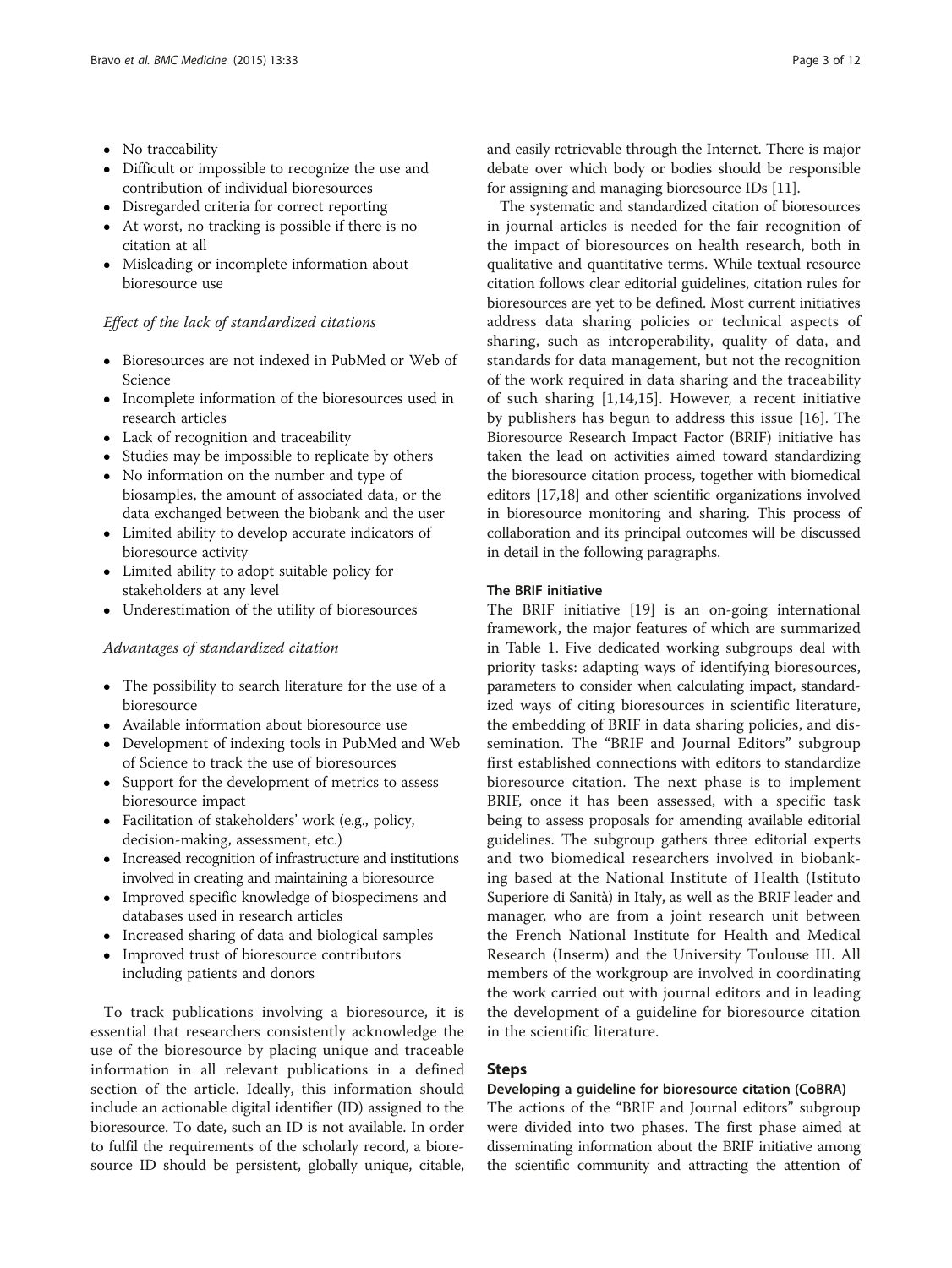• No traceability

- Difficult or impossible to recognize the use and contribution of individual bioresources
- Disregarded criteria for correct reporting
- At worst, no tracking is possible if there is no citation at all
- Misleading or incomplete information about bioresource use

#### Effect of the lack of standardized citations

- Bioresources are not indexed in PubMed or Web of Science
- Incomplete information of the bioresources used in research articles
- Lack of recognition and traceability
- Studies may be impossible to replicate by others
- No information on the number and type of biosamples, the amount of associated data, or the data exchanged between the biobank and the user
- Limited ability to develop accurate indicators of bioresource activity
- Limited ability to adopt suitable policy for stakeholders at any level
- Underestimation of the utility of bioresources

## Advantages of standardized citation

- The possibility to search literature for the use of a bioresource
- Available information about bioresource use
- Development of indexing tools in PubMed and Web of Science to track the use of bioresources
- Support for the development of metrics to assess bioresource impact
- Facilitation of stakeholders' work (e.g., policy, decision-making, assessment, etc.)
- Increased recognition of infrastructure and institutions involved in creating and maintaining a bioresource
- Improved specific knowledge of biospecimens and databases used in research articles
- Increased sharing of data and biological samples
- Improved trust of bioresource contributors including patients and donors

To track publications involving a bioresource, it is essential that researchers consistently acknowledge the use of the bioresource by placing unique and traceable information in all relevant publications in a defined section of the article. Ideally, this information should include an actionable digital identifier (ID) assigned to the bioresource. To date, such an ID is not available. In order to fulfil the requirements of the scholarly record, a bioresource ID should be persistent, globally unique, citable,

and easily retrievable through the Internet. There is major debate over which body or bodies should be responsible for assigning and managing bioresource IDs [\[11\]](#page-10-0).

The systematic and standardized citation of bioresources in journal articles is needed for the fair recognition of the impact of bioresources on health research, both in qualitative and quantitative terms. While textual resource citation follows clear editorial guidelines, citation rules for bioresources are yet to be defined. Most current initiatives address data sharing policies or technical aspects of sharing, such as interoperability, quality of data, and standards for data management, but not the recognition of the work required in data sharing and the traceability of such sharing [[1,14,15](#page-10-0)]. However, a recent initiative by publishers has begun to address this issue [\[16](#page-10-0)]. The Bioresource Research Impact Factor (BRIF) initiative has taken the lead on activities aimed toward standardizing the bioresource citation process, together with biomedical editors [[17,18\]](#page-10-0) and other scientific organizations involved in bioresource monitoring and sharing. This process of collaboration and its principal outcomes will be discussed in detail in the following paragraphs.

# The BRIF initiative

The BRIF initiative [\[19\]](#page-10-0) is an on-going international framework, the major features of which are summarized in Table [1.](#page-3-0) Five dedicated working subgroups deal with priority tasks: adapting ways of identifying bioresources, parameters to consider when calculating impact, standardized ways of citing bioresources in scientific literature, the embedding of BRIF in data sharing policies, and dissemination. The "BRIF and Journal Editors" subgroup first established connections with editors to standardize bioresource citation. The next phase is to implement BRIF, once it has been assessed, with a specific task being to assess proposals for amending available editorial guidelines. The subgroup gathers three editorial experts and two biomedical researchers involved in biobanking based at the National Institute of Health (Istituto Superiore di Sanità) in Italy, as well as the BRIF leader and manager, who are from a joint research unit between the French National Institute for Health and Medical Research (Inserm) and the University Toulouse III. All members of the workgroup are involved in coordinating the work carried out with journal editors and in leading the development of a guideline for bioresource citation in the scientific literature.

## Steps

#### Developing a guideline for bioresource citation (CoBRA)

The actions of the "BRIF and Journal editors" subgroup were divided into two phases. The first phase aimed at disseminating information about the BRIF initiative among the scientific community and attracting the attention of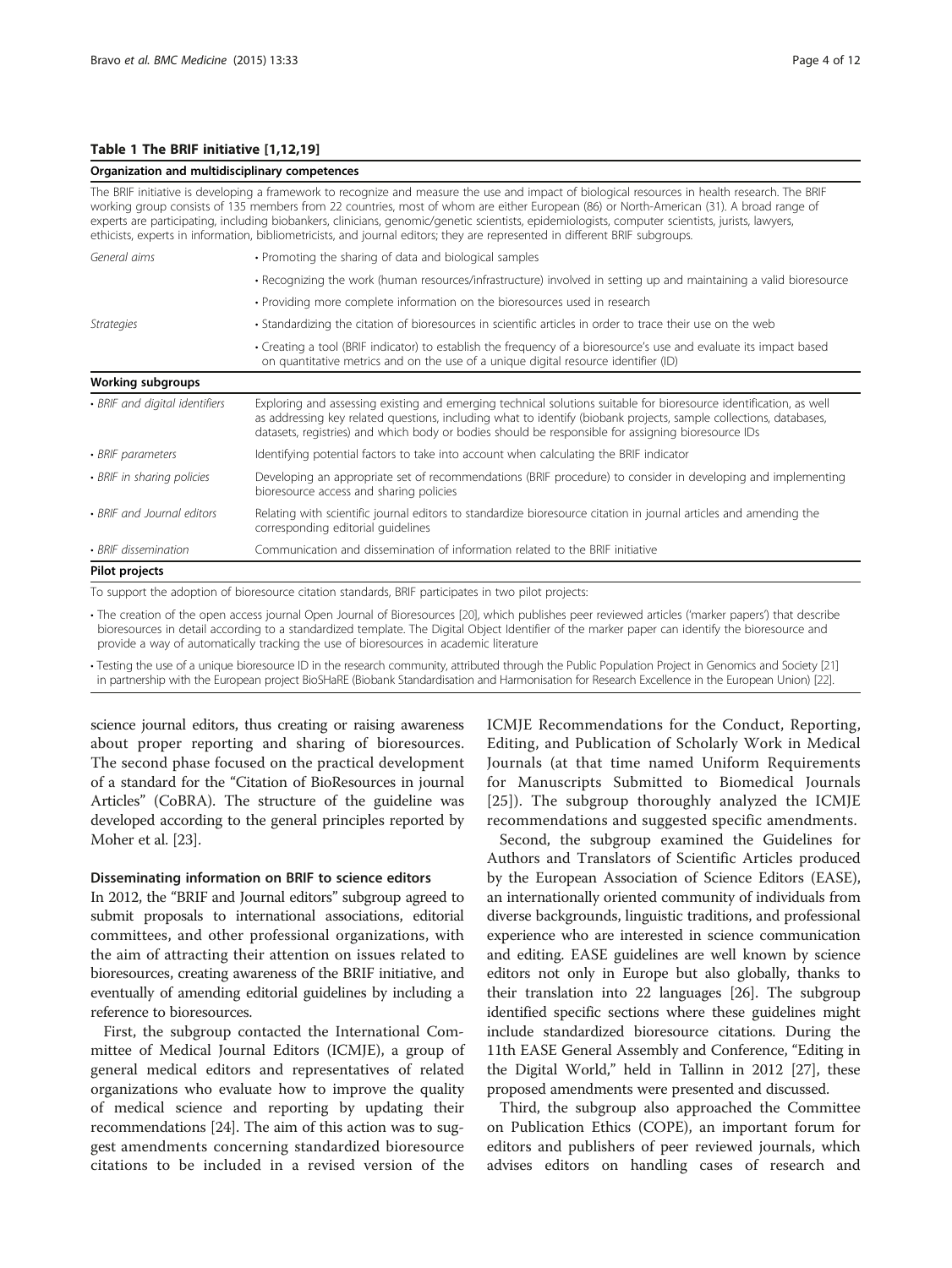#### <span id="page-3-0"></span>Table 1 The BRIF initiative [\[1,12](#page-10-0),[19](#page-10-0)]

| Organization and multidisciplinary competences |                                                                                                                                                                                                                                                                                                                                                                                                                                                                                                                                                                              |  |
|------------------------------------------------|------------------------------------------------------------------------------------------------------------------------------------------------------------------------------------------------------------------------------------------------------------------------------------------------------------------------------------------------------------------------------------------------------------------------------------------------------------------------------------------------------------------------------------------------------------------------------|--|
|                                                | The BRIF initiative is developing a framework to recognize and measure the use and impact of biological resources in health research. The BRIF<br>working group consists of 135 members from 22 countries, most of whom are either European (86) or North-American (31). A broad range of<br>experts are participating, including biobankers, clinicians, genomic/genetic scientists, epidemiologists, computer scientists, jurists, lawyers,<br>ethicists, experts in information, bibliometricists, and journal editors; they are represented in different BRIF subgroups. |  |
| General aims                                   | • Promoting the sharing of data and biological samples                                                                                                                                                                                                                                                                                                                                                                                                                                                                                                                       |  |
|                                                | • Recognizing the work (human resources/infrastructure) involved in setting up and maintaining a valid bioresource                                                                                                                                                                                                                                                                                                                                                                                                                                                           |  |
|                                                | • Providing more complete information on the bioresources used in research                                                                                                                                                                                                                                                                                                                                                                                                                                                                                                   |  |
| <b>Strategies</b>                              | • Standardizing the citation of bioresources in scientific articles in order to trace their use on the web                                                                                                                                                                                                                                                                                                                                                                                                                                                                   |  |
|                                                | • Creating a tool (BRIF indicator) to establish the frequency of a bioresource's use and evaluate its impact based<br>on quantitative metrics and on the use of a unique digital resource identifier (ID)                                                                                                                                                                                                                                                                                                                                                                    |  |
| <b>Working subgroups</b>                       |                                                                                                                                                                                                                                                                                                                                                                                                                                                                                                                                                                              |  |
| • BRIF and digital identifiers                 | Exploring and assessing existing and emerging technical solutions suitable for bioresource identification, as well<br>as addressing key related questions, including what to identify (biobank projects, sample collections, databases,<br>datasets, registries) and which body or bodies should be responsible for assigning bioresource IDs                                                                                                                                                                                                                                |  |
| • BRIF parameters                              | Identifying potential factors to take into account when calculating the BRIF indicator                                                                                                                                                                                                                                                                                                                                                                                                                                                                                       |  |
| • BRIF in sharing policies                     | Developing an appropriate set of recommendations (BRIF procedure) to consider in developing and implementing<br>bioresource access and sharing policies                                                                                                                                                                                                                                                                                                                                                                                                                      |  |
| • BRIF and Journal editors                     | Relating with scientific journal editors to standardize bioresource citation in journal articles and amending the<br>corresponding editorial quidelines                                                                                                                                                                                                                                                                                                                                                                                                                      |  |
| • BRIF dissemination                           | Communication and dissemination of information related to the BRIF initiative                                                                                                                                                                                                                                                                                                                                                                                                                                                                                                |  |
| Pilot projects                                 |                                                                                                                                                                                                                                                                                                                                                                                                                                                                                                                                                                              |  |
|                                                |                                                                                                                                                                                                                                                                                                                                                                                                                                                                                                                                                                              |  |

To support the adoption of bioresource citation standards, BRIF participates in two pilot projects:

• The creation of the open access journal Open Journal of Bioresources [\[20\]](#page-10-0), which publishes peer reviewed articles ('marker papers') that describe bioresources in detail according to a standardized template. The Digital Object Identifier of the marker paper can identify the bioresource and provide a way of automatically tracking the use of bioresources in academic literature

• Testing the use of a unique bioresource ID in the research community, attributed through the Public Population Project in Genomics and Society [[21\]](#page-10-0) in partnership with the European project BioSHaRE (Biobank Standardisation and Harmonisation for Research Excellence in the European Union) [\[22\]](#page-10-0).

science journal editors, thus creating or raising awareness about proper reporting and sharing of bioresources. The second phase focused on the practical development of a standard for the "Citation of BioResources in journal Articles" (CoBRA). The structure of the guideline was developed according to the general principles reported by Moher et al. [\[23\]](#page-10-0).

#### Disseminating information on BRIF to science editors

In 2012, the "BRIF and Journal editors" subgroup agreed to submit proposals to international associations, editorial committees, and other professional organizations, with the aim of attracting their attention on issues related to bioresources, creating awareness of the BRIF initiative, and eventually of amending editorial guidelines by including a reference to bioresources.

First, the subgroup contacted the International Committee of Medical Journal Editors (ICMJE), a group of general medical editors and representatives of related organizations who evaluate how to improve the quality of medical science and reporting by updating their recommendations [[24\]](#page-10-0). The aim of this action was to suggest amendments concerning standardized bioresource citations to be included in a revised version of the ICMJE Recommendations for the Conduct, Reporting, Editing, and Publication of Scholarly Work in Medical Journals (at that time named Uniform Requirements for Manuscripts Submitted to Biomedical Journals [[25](#page-10-0)]). The subgroup thoroughly analyzed the ICMJE recommendations and suggested specific amendments.

Second, the subgroup examined the Guidelines for Authors and Translators of Scientific Articles produced by the European Association of Science Editors (EASE), an internationally oriented community of individuals from diverse backgrounds, linguistic traditions, and professional experience who are interested in science communication and editing. EASE guidelines are well known by science editors not only in Europe but also globally, thanks to their translation into 22 languages [[26](#page-10-0)]. The subgroup identified specific sections where these guidelines might include standardized bioresource citations. During the 11th EASE General Assembly and Conference, "Editing in the Digital World," held in Tallinn in 2012 [\[27\]](#page-10-0), these proposed amendments were presented and discussed.

Third, the subgroup also approached the Committee on Publication Ethics (COPE), an important forum for editors and publishers of peer reviewed journals, which advises editors on handling cases of research and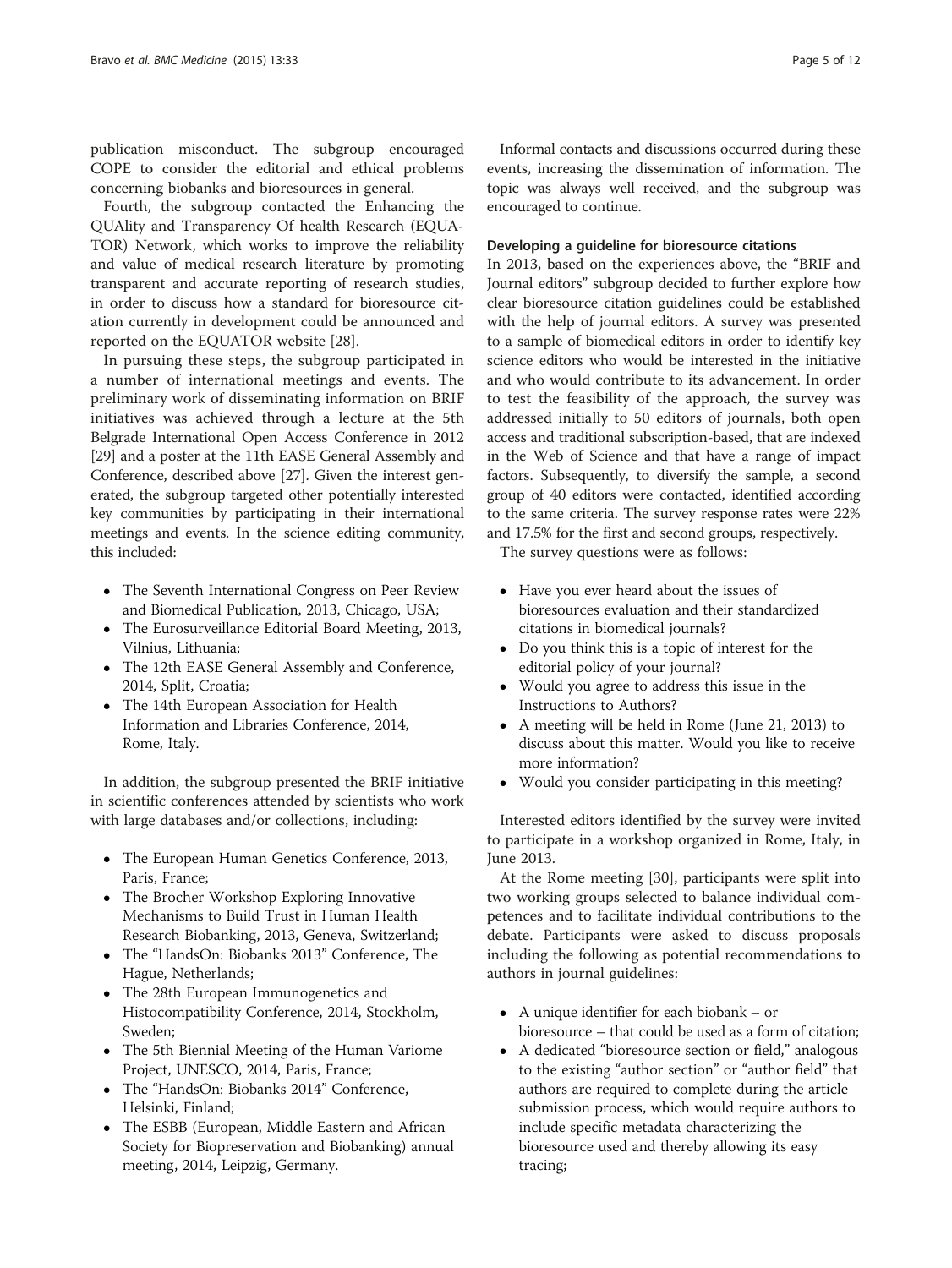publication misconduct. The subgroup encouraged COPE to consider the editorial and ethical problems concerning biobanks and bioresources in general.

Fourth, the subgroup contacted the Enhancing the QUAlity and Transparency Of health Research (EQUA-TOR) Network, which works to improve the reliability and value of medical research literature by promoting transparent and accurate reporting of research studies, in order to discuss how a standard for bioresource citation currently in development could be announced and reported on the EQUATOR website [[28\]](#page-10-0).

In pursuing these steps, the subgroup participated in a number of international meetings and events. The preliminary work of disseminating information on BRIF initiatives was achieved through a lecture at the 5th Belgrade International Open Access Conference in 2012 [[29](#page-10-0)] and a poster at the 11th EASE General Assembly and Conference, described above [[27](#page-10-0)]. Given the interest generated, the subgroup targeted other potentially interested key communities by participating in their international meetings and events. In the science editing community, this included:

- The Seventh International Congress on Peer Review and Biomedical Publication, 2013, Chicago, USA;
- The Eurosurveillance Editorial Board Meeting, 2013, Vilnius, Lithuania;
- The 12th EASE General Assembly and Conference, 2014, Split, Croatia;
- The 14th European Association for Health Information and Libraries Conference, 2014, Rome, Italy.

In addition, the subgroup presented the BRIF initiative in scientific conferences attended by scientists who work with large databases and/or collections, including:

- The European Human Genetics Conference, 2013, Paris, France;
- The Brocher Workshop Exploring Innovative Mechanisms to Build Trust in Human Health Research Biobanking, 2013, Geneva, Switzerland;
- The "HandsOn: Biobanks 2013" Conference, The Hague, Netherlands;
- The 28th European Immunogenetics and Histocompatibility Conference, 2014, Stockholm, Sweden;
- The 5th Biennial Meeting of the Human Variome Project, UNESCO, 2014, Paris, France;
- The "HandsOn: Biobanks 2014" Conference, Helsinki, Finland;
- The ESBB (European, Middle Eastern and African Society for Biopreservation and Biobanking) annual meeting, 2014, Leipzig, Germany.

Informal contacts and discussions occurred during these events, increasing the dissemination of information. The topic was always well received, and the subgroup was encouraged to continue.

#### Developing a guideline for bioresource citations

In 2013, based on the experiences above, the "BRIF and Journal editors" subgroup decided to further explore how clear bioresource citation guidelines could be established with the help of journal editors. A survey was presented to a sample of biomedical editors in order to identify key science editors who would be interested in the initiative and who would contribute to its advancement. In order to test the feasibility of the approach, the survey was addressed initially to 50 editors of journals, both open access and traditional subscription-based, that are indexed in the Web of Science and that have a range of impact factors. Subsequently, to diversify the sample, a second group of 40 editors were contacted, identified according to the same criteria. The survey response rates were 22% and 17.5% for the first and second groups, respectively.

The survey questions were as follows:

- Have you ever heard about the issues of bioresources evaluation and their standardized citations in biomedical journals?
- Do you think this is a topic of interest for the editorial policy of your journal?
- Would you agree to address this issue in the Instructions to Authors?
- A meeting will be held in Rome (June 21, 2013) to discuss about this matter. Would you like to receive more information?
- Would you consider participating in this meeting?

Interested editors identified by the survey were invited to participate in a workshop organized in Rome, Italy, in June 2013.

At the Rome meeting [[30\]](#page-10-0), participants were split into two working groups selected to balance individual competences and to facilitate individual contributions to the debate. Participants were asked to discuss proposals including the following as potential recommendations to authors in journal guidelines:

- A unique identifier for each biobank or bioresource – that could be used as a form of citation;
- A dedicated "bioresource section or field," analogous to the existing "author section" or "author field" that authors are required to complete during the article submission process, which would require authors to include specific metadata characterizing the bioresource used and thereby allowing its easy tracing;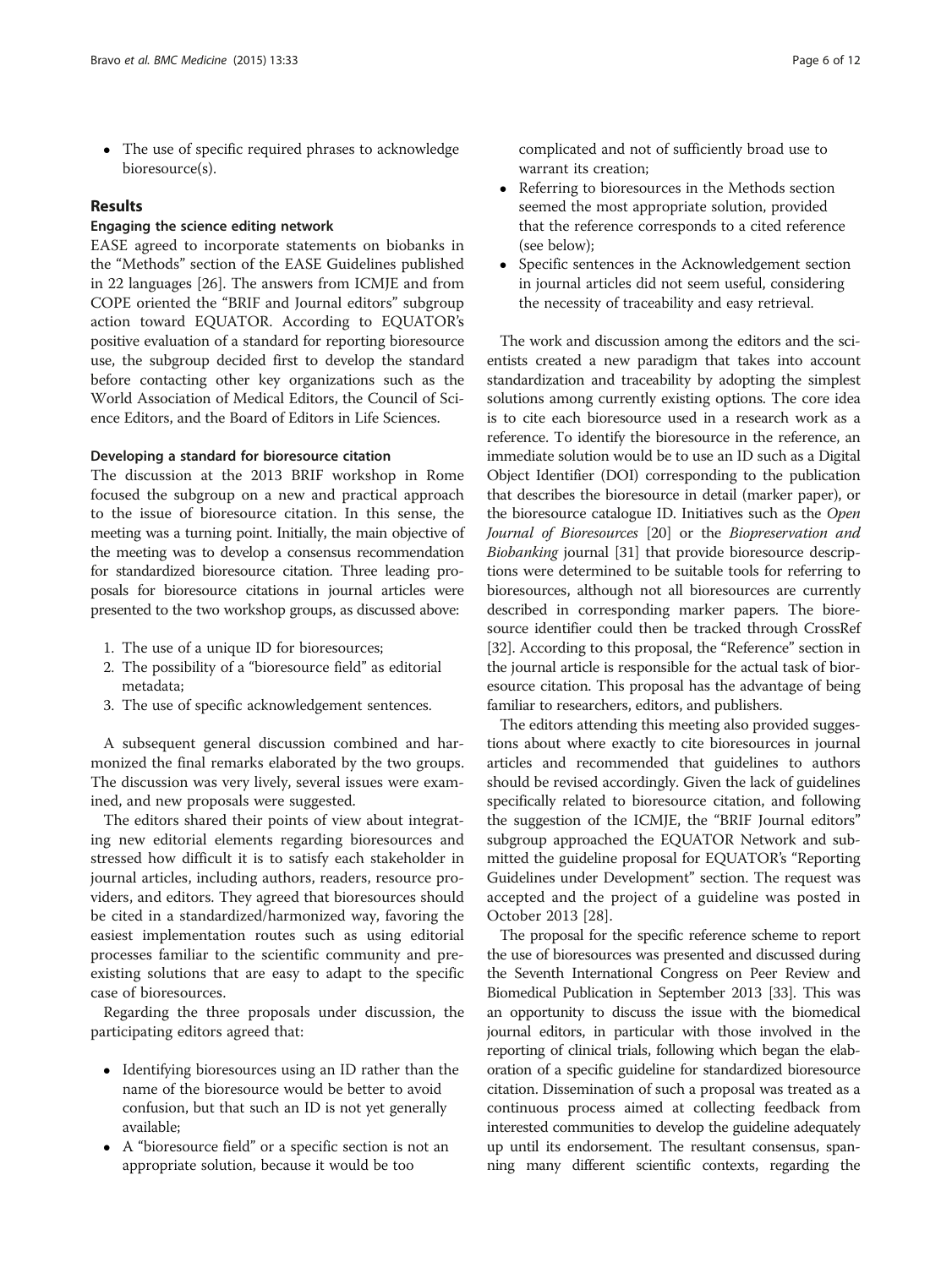• The use of specific required phrases to acknowledge bioresource(s).

## Results

## Engaging the science editing network

EASE agreed to incorporate statements on biobanks in the "Methods" section of the EASE Guidelines published in 22 languages [\[26](#page-10-0)]. The answers from ICMJE and from COPE oriented the "BRIF and Journal editors" subgroup action toward EQUATOR. According to EQUATOR's positive evaluation of a standard for reporting bioresource use, the subgroup decided first to develop the standard before contacting other key organizations such as the World Association of Medical Editors, the Council of Science Editors, and the Board of Editors in Life Sciences.

#### Developing a standard for bioresource citation

The discussion at the 2013 BRIF workshop in Rome focused the subgroup on a new and practical approach to the issue of bioresource citation. In this sense, the meeting was a turning point. Initially, the main objective of the meeting was to develop a consensus recommendation for standardized bioresource citation. Three leading proposals for bioresource citations in journal articles were presented to the two workshop groups, as discussed above:

- 1. The use of a unique ID for bioresources;
- 2. The possibility of a "bioresource field" as editorial metadata;
- 3. The use of specific acknowledgement sentences.

A subsequent general discussion combined and harmonized the final remarks elaborated by the two groups. The discussion was very lively, several issues were examined, and new proposals were suggested.

The editors shared their points of view about integrating new editorial elements regarding bioresources and stressed how difficult it is to satisfy each stakeholder in journal articles, including authors, readers, resource providers, and editors. They agreed that bioresources should be cited in a standardized/harmonized way, favoring the easiest implementation routes such as using editorial processes familiar to the scientific community and preexisting solutions that are easy to adapt to the specific case of bioresources.

Regarding the three proposals under discussion, the participating editors agreed that:

- Identifying bioresources using an ID rather than the name of the bioresource would be better to avoid confusion, but that such an ID is not yet generally available;
- A "bioresource field" or a specific section is not an appropriate solution, because it would be too

complicated and not of sufficiently broad use to warrant its creation;

- Referring to bioresources in the Methods section seemed the most appropriate solution, provided that the reference corresponds to a cited reference (see below);
- Specific sentences in the Acknowledgement section in journal articles did not seem useful, considering the necessity of traceability and easy retrieval.

The work and discussion among the editors and the scientists created a new paradigm that takes into account standardization and traceability by adopting the simplest solutions among currently existing options. The core idea is to cite each bioresource used in a research work as a reference. To identify the bioresource in the reference, an immediate solution would be to use an ID such as a Digital Object Identifier (DOI) corresponding to the publication that describes the bioresource in detail (marker paper), or the bioresource catalogue ID. Initiatives such as the Open Journal of Bioresources [[20](#page-10-0)] or the Biopreservation and Biobanking journal [[31](#page-10-0)] that provide bioresource descriptions were determined to be suitable tools for referring to bioresources, although not all bioresources are currently described in corresponding marker papers. The bioresource identifier could then be tracked through CrossRef [[32](#page-10-0)]. According to this proposal, the "Reference" section in the journal article is responsible for the actual task of bioresource citation. This proposal has the advantage of being familiar to researchers, editors, and publishers.

The editors attending this meeting also provided suggestions about where exactly to cite bioresources in journal articles and recommended that guidelines to authors should be revised accordingly. Given the lack of guidelines specifically related to bioresource citation, and following the suggestion of the ICMJE, the "BRIF Journal editors" subgroup approached the EQUATOR Network and submitted the guideline proposal for EQUATOR's "Reporting Guidelines under Development" section. The request was accepted and the project of a guideline was posted in October 2013 [[28](#page-10-0)].

The proposal for the specific reference scheme to report the use of bioresources was presented and discussed during the Seventh International Congress on Peer Review and Biomedical Publication in September 2013 [\[33](#page-10-0)]. This was an opportunity to discuss the issue with the biomedical journal editors, in particular with those involved in the reporting of clinical trials, following which began the elaboration of a specific guideline for standardized bioresource citation. Dissemination of such a proposal was treated as a continuous process aimed at collecting feedback from interested communities to develop the guideline adequately up until its endorsement. The resultant consensus, spanning many different scientific contexts, regarding the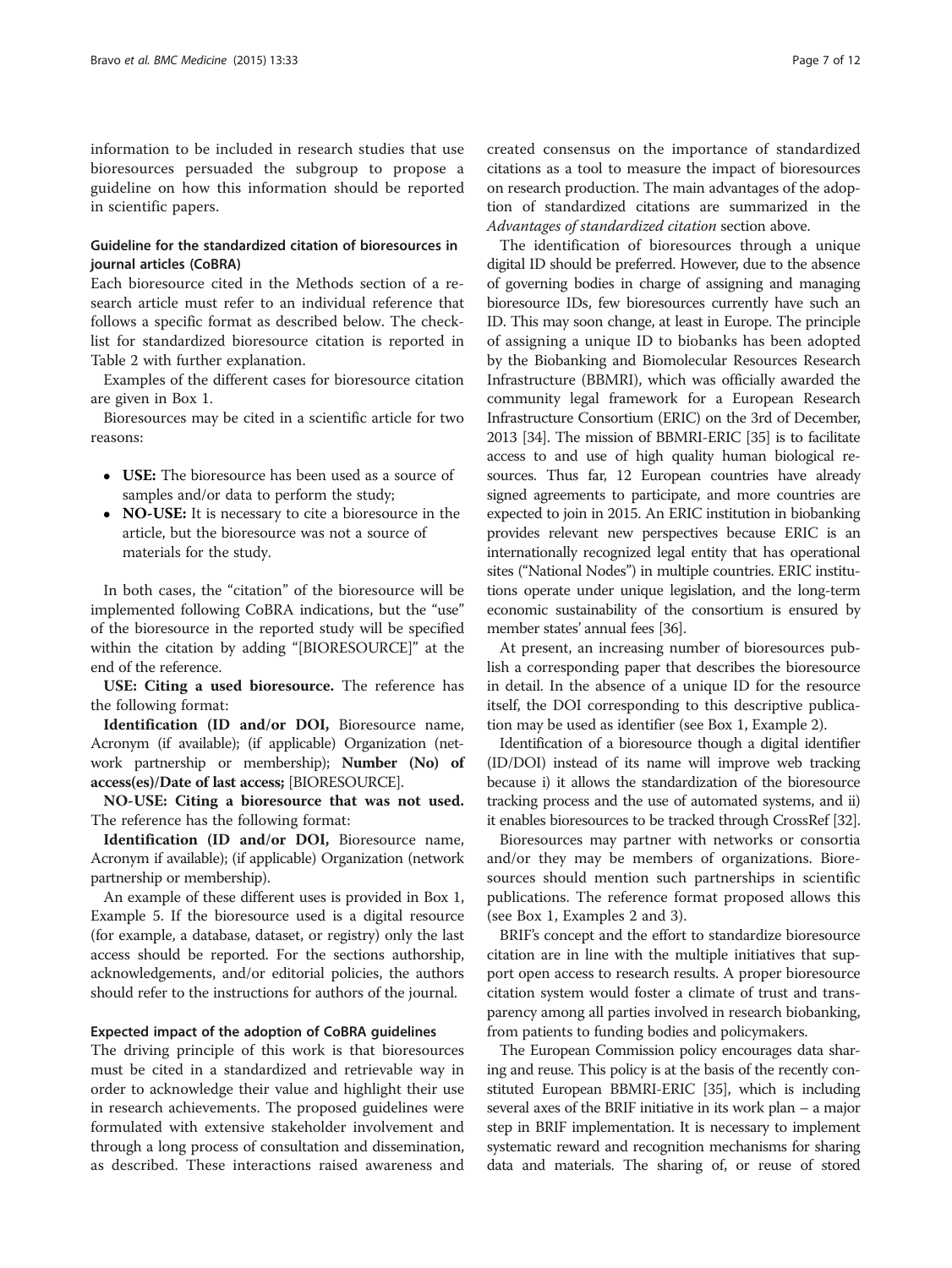information to be included in research studies that use bioresources persuaded the subgroup to propose a guideline on how this information should be reported in scientific papers.

# Guideline for the standardized citation of bioresources in journal articles (CoBRA)

Each bioresource cited in the Methods section of a research article must refer to an individual reference that follows a specific format as described below. The checklist for standardized bioresource citation is reported in Table [2](#page-7-0) with further explanation.

Examples of the different cases for bioresource citation are given in Box 1.

Bioresources may be cited in a scientific article for two reasons:

- USE: The bioresource has been used as a source of samples and/or data to perform the study;
- NO-USE: It is necessary to cite a bioresource in the article, but the bioresource was not a source of materials for the study.

In both cases, the "citation" of the bioresource will be implemented following CoBRA indications, but the "use" of the bioresource in the reported study will be specified within the citation by adding "[BIORESOURCE]" at the end of the reference.

USE: Citing a used bioresource. The reference has the following format:

Identification (ID and/or DOI, Bioresource name, Acronym (if available); (if applicable) Organization (network partnership or membership); Number (No) of access(es)/Date of last access; [BIORESOURCE].

NO-USE: Citing a bioresource that was not used. The reference has the following format:

Identification (ID and/or DOI, Bioresource name, Acronym if available); (if applicable) Organization (network partnership or membership).

An example of these different uses is provided in Box 1, Example 5. If the bioresource used is a digital resource (for example, a database, dataset, or registry) only the last access should be reported. For the sections authorship, acknowledgements, and/or editorial policies, the authors should refer to the instructions for authors of the journal.

# Expected impact of the adoption of CoBRA guidelines

The driving principle of this work is that bioresources must be cited in a standardized and retrievable way in order to acknowledge their value and highlight their use in research achievements. The proposed guidelines were formulated with extensive stakeholder involvement and through a long process of consultation and dissemination, as described. These interactions raised awareness and

created consensus on the importance of standardized citations as a tool to measure the impact of bioresources on research production. The main advantages of the adoption of standardized citations are summarized in the Advantages of standardized citation section above.

The identification of bioresources through a unique digital ID should be preferred. However, due to the absence of governing bodies in charge of assigning and managing bioresource IDs, few bioresources currently have such an ID. This may soon change, at least in Europe. The principle of assigning a unique ID to biobanks has been adopted by the Biobanking and Biomolecular Resources Research Infrastructure (BBMRI), which was officially awarded the community legal framework for a European Research Infrastructure Consortium (ERIC) on the 3rd of December, 2013 [\[34](#page-10-0)]. The mission of BBMRI-ERIC [[35](#page-10-0)] is to facilitate access to and use of high quality human biological resources. Thus far, 12 European countries have already signed agreements to participate, and more countries are expected to join in 2015. An ERIC institution in biobanking provides relevant new perspectives because ERIC is an internationally recognized legal entity that has operational sites ("National Nodes") in multiple countries. ERIC institutions operate under unique legislation, and the long-term economic sustainability of the consortium is ensured by member states' annual fees [\[36\]](#page-11-0).

At present, an increasing number of bioresources publish a corresponding paper that describes the bioresource in detail. In the absence of a unique ID for the resource itself, the DOI corresponding to this descriptive publication may be used as identifier (see Box 1, Example 2).

Identification of a bioresource though a digital identifier (ID/DOI) instead of its name will improve web tracking because i) it allows the standardization of the bioresource tracking process and the use of automated systems, and ii) it enables bioresources to be tracked through CrossRef [\[32](#page-10-0)].

Bioresources may partner with networks or consortia and/or they may be members of organizations. Bioresources should mention such partnerships in scientific publications. The reference format proposed allows this (see Box 1, Examples 2 and 3).

BRIF's concept and the effort to standardize bioresource citation are in line with the multiple initiatives that support open access to research results. A proper bioresource citation system would foster a climate of trust and transparency among all parties involved in research biobanking, from patients to funding bodies and policymakers.

The European Commission policy encourages data sharing and reuse. This policy is at the basis of the recently constituted European BBMRI-ERIC [\[35](#page-10-0)], which is including several axes of the BRIF initiative in its work plan – a major step in BRIF implementation. It is necessary to implement systematic reward and recognition mechanisms for sharing data and materials. The sharing of, or reuse of stored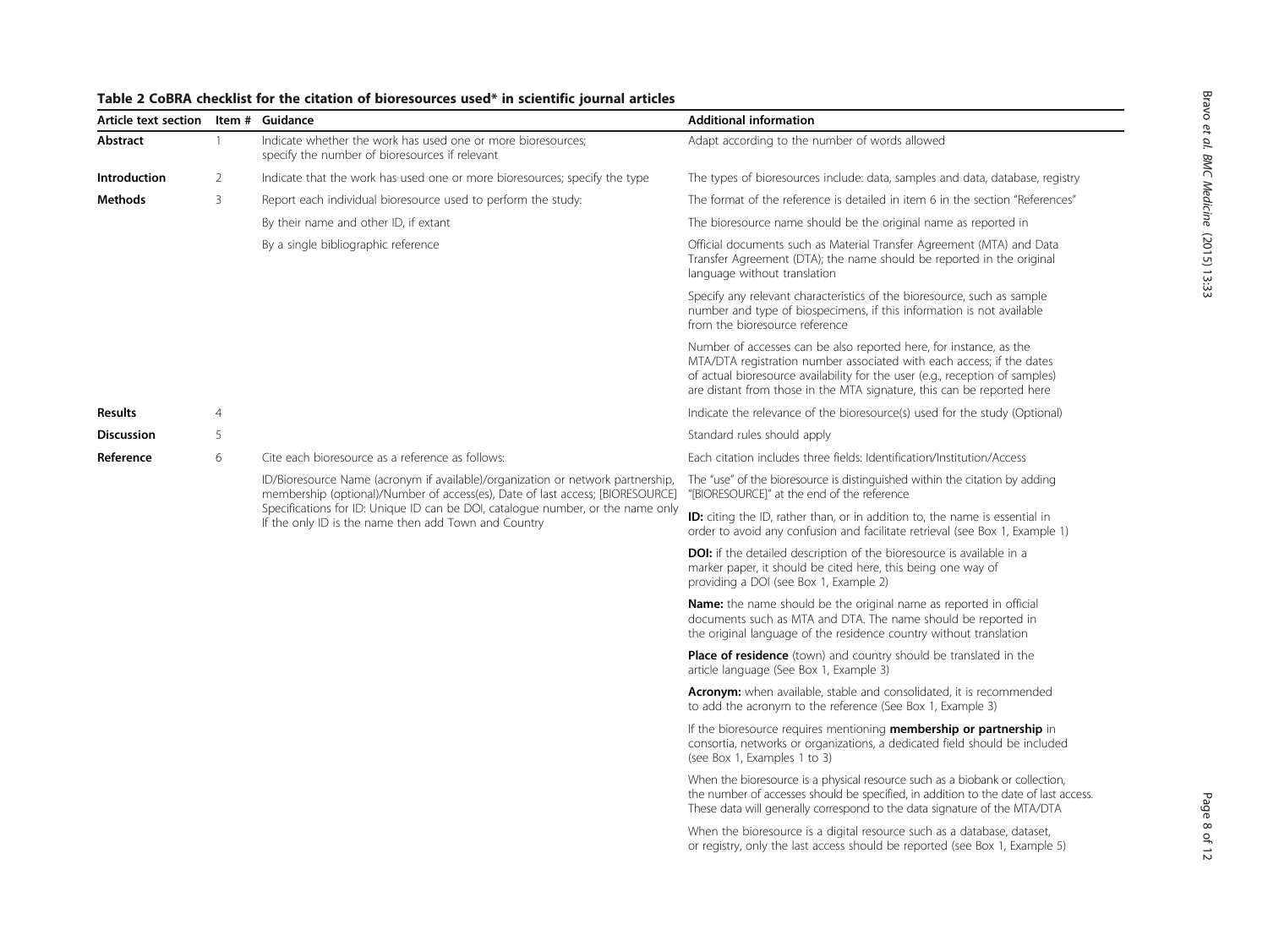| Article text section |                | Item # Guidance                                                                                                                                                                                                                                                                                              | <b>Additional information</b>                                                                                                                                                                                                                                                                         |
|----------------------|----------------|--------------------------------------------------------------------------------------------------------------------------------------------------------------------------------------------------------------------------------------------------------------------------------------------------------------|-------------------------------------------------------------------------------------------------------------------------------------------------------------------------------------------------------------------------------------------------------------------------------------------------------|
| Abstract             | $\mathbf{1}$   | Indicate whether the work has used one or more bioresources:<br>specify the number of bioresources if relevant                                                                                                                                                                                               | Adapt according to the number of words allowed                                                                                                                                                                                                                                                        |
| <b>Introduction</b>  | $\overline{2}$ | Indicate that the work has used one or more bioresources; specify the type                                                                                                                                                                                                                                   | The types of bioresources include: data, samples and data, database, registry                                                                                                                                                                                                                         |
| <b>Methods</b><br>3  |                | Report each individual bioresource used to perform the study:                                                                                                                                                                                                                                                | The format of the reference is detailed in item 6 in the section "References"                                                                                                                                                                                                                         |
|                      |                | By their name and other ID, if extant                                                                                                                                                                                                                                                                        | The bioresource name should be the original name as reported in                                                                                                                                                                                                                                       |
|                      |                | By a single bibliographic reference                                                                                                                                                                                                                                                                          | Official documents such as Material Transfer Agreement (MTA) and Data<br>Transfer Agreement (DTA); the name should be reported in the original<br>language without translation                                                                                                                        |
|                      |                |                                                                                                                                                                                                                                                                                                              | Specify any relevant characteristics of the bioresource, such as sample<br>number and type of biospecimens, if this information is not available<br>from the bioresource reference                                                                                                                    |
|                      |                |                                                                                                                                                                                                                                                                                                              | Number of accesses can be also reported here, for instance, as the<br>MTA/DTA registration number associated with each access; if the dates<br>of actual bioresource availability for the user (e.g., reception of samples)<br>are distant from those in the MTA signature, this can be reported here |
| <b>Results</b>       | 4              |                                                                                                                                                                                                                                                                                                              | Indicate the relevance of the bioresource(s) used for the study (Optional)                                                                                                                                                                                                                            |
| <b>Discussion</b>    | 5              |                                                                                                                                                                                                                                                                                                              | Standard rules should apply                                                                                                                                                                                                                                                                           |
| Reference            | 6              | Cite each bioresource as a reference as follows:                                                                                                                                                                                                                                                             | Fach citation includes three fields: Identification/Institution/Access                                                                                                                                                                                                                                |
|                      |                | ID/Bioresource Name (acronym if available)/organization or network partnership,<br>membership (optional)/Number of access(es), Date of last access; [BIORESOURCE]<br>Specifications for ID: Unique ID can be DOI, catalogue number, or the name only<br>If the only ID is the name then add Town and Country | The "use" of the bioresource is distinguished within the citation by adding<br>"[BIORESOURCE]" at the end of the reference                                                                                                                                                                            |
|                      |                |                                                                                                                                                                                                                                                                                                              | <b>ID:</b> citing the ID, rather than, or in addition to, the name is essential in<br>order to avoid any confusion and facilitate retrieval (see Box 1, Example 1)                                                                                                                                    |
|                      |                |                                                                                                                                                                                                                                                                                                              | <b>DOI:</b> if the detailed description of the bioresource is available in a<br>marker paper, it should be cited here, this being one way of<br>providing a DOI (see Box 1, Example 2)                                                                                                                |
|                      |                |                                                                                                                                                                                                                                                                                                              | <b>Name:</b> the name should be the original name as reported in official<br>documents such as MTA and DTA. The name should be reported in<br>the original language of the residence country without translation                                                                                      |
|                      |                |                                                                                                                                                                                                                                                                                                              | <b>Place of residence</b> (town) and country should be translated in the<br>article language (See Box 1, Example 3)                                                                                                                                                                                   |
|                      |                |                                                                                                                                                                                                                                                                                                              | Acronym: when available, stable and consolidated, it is recommended<br>to add the acronym to the reference (See Box 1, Example 3)                                                                                                                                                                     |
|                      |                |                                                                                                                                                                                                                                                                                                              | If the bioresource requires mentioning <b>membership or partnership</b> in<br>consortia, networks or organizations, a dedicated field should be included<br>(see Box 1, Examples 1 to 3)                                                                                                              |
|                      |                |                                                                                                                                                                                                                                                                                                              | When the bioresource is a physical resource such as a biobank or collection,<br>the number of accesses should be specified, in addition to the date of last access.<br>These data will generally correspond to the data signature of the MTA/DTA                                                      |
|                      |                |                                                                                                                                                                                                                                                                                                              | When the bioresource is a digital resource such as a database, dataset,<br>or registry, only the last access should be reported (see Box 1, Example 5)                                                                                                                                                |
|                      |                |                                                                                                                                                                                                                                                                                                              |                                                                                                                                                                                                                                                                                                       |

# <span id="page-7-0"></span>Table 2 CoBRA checklist for the citation of bioresources used\* in scientific journal articles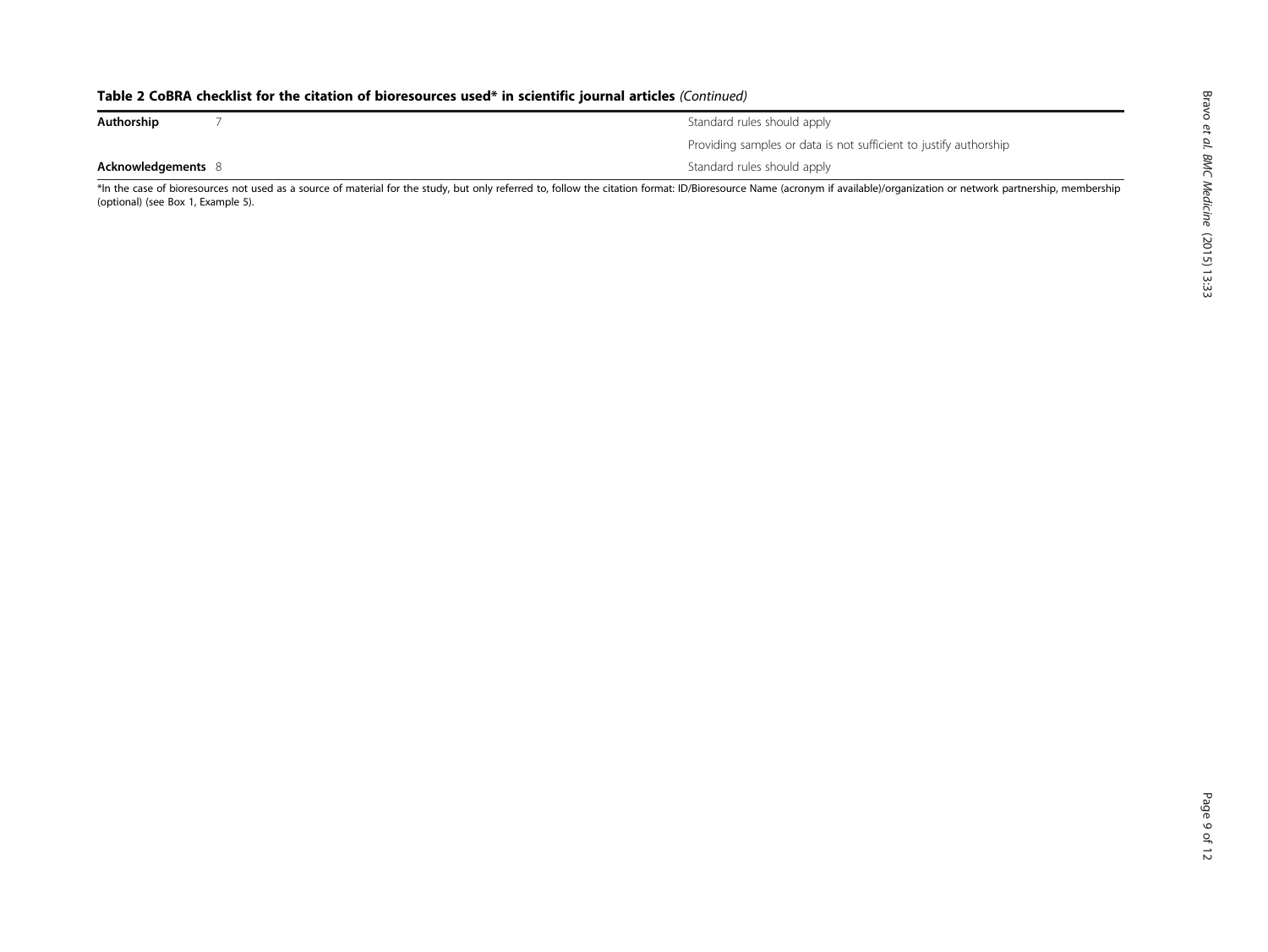# Table 2 CoBRA checklist for the citation of bioresources used\* in scientific journal articles (Continued)

| Authorship                | Standard rules should apply                                       |
|---------------------------|-------------------------------------------------------------------|
|                           | Providing samples or data is not sufficient to justify authorship |
| <b>Acknowledgements 8</b> | Standard rules should apply                                       |

\*In the case of bioresources not used as a source of material for the study, but only referred to, follow the citation format: ID/Bioresource Name (acronym if available)/organization or network partnership, membership (optional) (see Box 1, Example 5).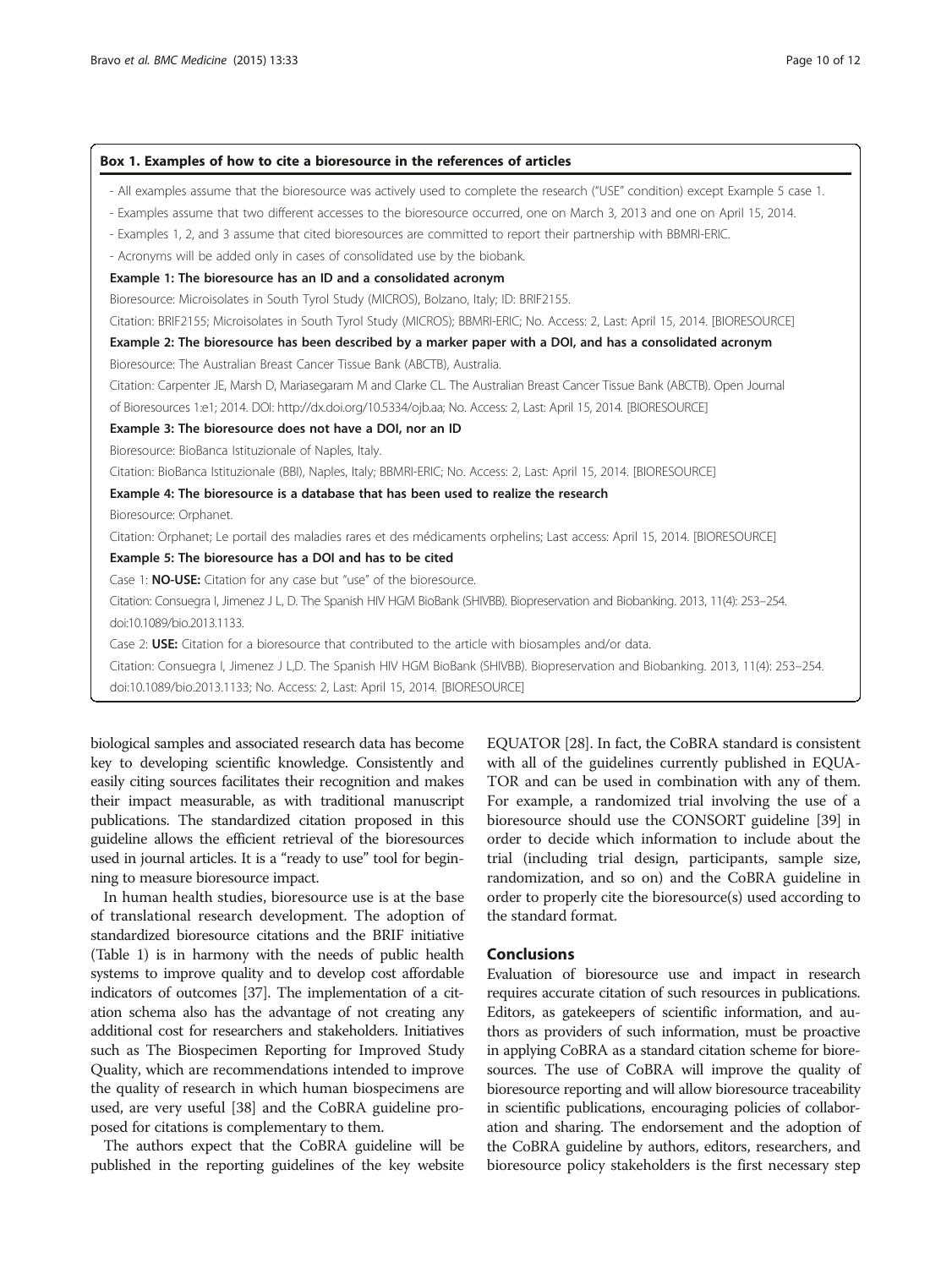| Box 1. Examples of how to cite a bioresource in the references of articles                                                         |  |  |  |
|------------------------------------------------------------------------------------------------------------------------------------|--|--|--|
| - All examples assume that the bioresource was actively used to complete the research ("USE" condition) except Example 5 case 1    |  |  |  |
| - Examples assume that two different accesses to the bioresource occurred, one on March 3, 2013 and one on April 15, 2014.         |  |  |  |
| - Examples 1, 2, and 3 assume that cited bioresources are committed to report their partnership with BBMRI-ERIC.                   |  |  |  |
| - Acronyms will be added only in cases of consolidated use by the biobank.                                                         |  |  |  |
| Example 1: The bioresource has an ID and a consolidated acronym                                                                    |  |  |  |
| Bioresource: Microisolates in South Tyrol Study (MICROS), Bolzano, Italy; ID: BRIF2155.                                            |  |  |  |
| Citation: BRIF2155; Microisolates in South Tyrol Study (MICROS); BBMRI-ERIC; No. Access: 2, Last: April 15, 2014. [BIORESOURCE]    |  |  |  |
| Example 2: The bioresource has been described by a marker paper with a DOI, and has a consolidated acronym                         |  |  |  |
| Bioresource: The Australian Breast Cancer Tissue Bank (ABCTB), Australia.                                                          |  |  |  |
| Citation: Carpenter JE, Marsh D, Mariasegaram M and Clarke CL. The Australian Breast Cancer Tissue Bank (ABCTB). Open Journal      |  |  |  |
| of Bioresources 1:e1; 2014. DOI: http://dx.doi.org/10.5334/ojb.aa; No. Access: 2, Last: April 15, 2014. [BIORESOURCE]              |  |  |  |
| Example 3: The bioresource does not have a DOI, nor an ID                                                                          |  |  |  |
| Bioresource: BioBanca Istituzionale of Naples, Italy.                                                                              |  |  |  |
| Citation: BioBanca Istituzionale (BBI), Naples, Italy; BBMRI-ERIC; No. Access: 2, Last: April 15, 2014. [BIORESOURCE]              |  |  |  |
| Example 4: The bioresource is a database that has been used to realize the research                                                |  |  |  |
| Bioresource: Orphanet.                                                                                                             |  |  |  |
| Citation: Orphanet; Le portail des maladies rares et des médicaments orphelins; Last access: April 15, 2014. [BIORESOURCE]         |  |  |  |
| Example 5: The bioresource has a DOI and has to be cited                                                                           |  |  |  |
| Case 1: <b>NO-USE:</b> Citation for any case but "use" of the bioresource.                                                         |  |  |  |
| Citation: Consuegra I, Jimenez J L, D. The Spanish HIV HGM BioBank (SHIVBB). Biopreservation and Biobanking. 2013, 11(4): 253–254. |  |  |  |
| doi:10.1089/bio.2013.1133.                                                                                                         |  |  |  |
| Case 2: USE: Citation for a bioresource that contributed to the article with biosamples and/or data.                               |  |  |  |
| Citation: Consuegra I, Jimenez J L,D. The Spanish HIV HGM BioBank (SHIVBB). Biopreservation and Biobanking. 2013, 11(4): 253-254.  |  |  |  |
| doi:10.1089/bio.2013.1133; No. Access: 2, Last: April 15, 2014. [BIORESOURCE]                                                      |  |  |  |

biological samples and associated research data has become key to developing scientific knowledge. Consistently and easily citing sources facilitates their recognition and makes their impact measurable, as with traditional manuscript publications. The standardized citation proposed in this guideline allows the efficient retrieval of the bioresources used in journal articles. It is a "ready to use" tool for beginning to measure bioresource impact.

In human health studies, bioresource use is at the base of translational research development. The adoption of standardized bioresource citations and the BRIF initiative (Table [1](#page-3-0)) is in harmony with the needs of public health systems to improve quality and to develop cost affordable indicators of outcomes [\[37](#page-11-0)]. The implementation of a citation schema also has the advantage of not creating any additional cost for researchers and stakeholders. Initiatives such as The Biospecimen Reporting for Improved Study Quality, which are recommendations intended to improve the quality of research in which human biospecimens are used, are very useful [[38](#page-11-0)] and the CoBRA guideline proposed for citations is complementary to them.

The authors expect that the CoBRA guideline will be published in the reporting guidelines of the key website EQUATOR [\[28](#page-10-0)]. In fact, the CoBRA standard is consistent with all of the guidelines currently published in EQUA-TOR and can be used in combination with any of them. For example, a randomized trial involving the use of a bioresource should use the CONSORT guideline [[39](#page-11-0)] in order to decide which information to include about the trial (including trial design, participants, sample size, randomization, and so on) and the CoBRA guideline in order to properly cite the bioresource(s) used according to the standard format.

#### **Conclusions**

Evaluation of bioresource use and impact in research requires accurate citation of such resources in publications. Editors, as gatekeepers of scientific information, and authors as providers of such information, must be proactive in applying CoBRA as a standard citation scheme for bioresources. The use of CoBRA will improve the quality of bioresource reporting and will allow bioresource traceability in scientific publications, encouraging policies of collaboration and sharing. The endorsement and the adoption of the CoBRA guideline by authors, editors, researchers, and bioresource policy stakeholders is the first necessary step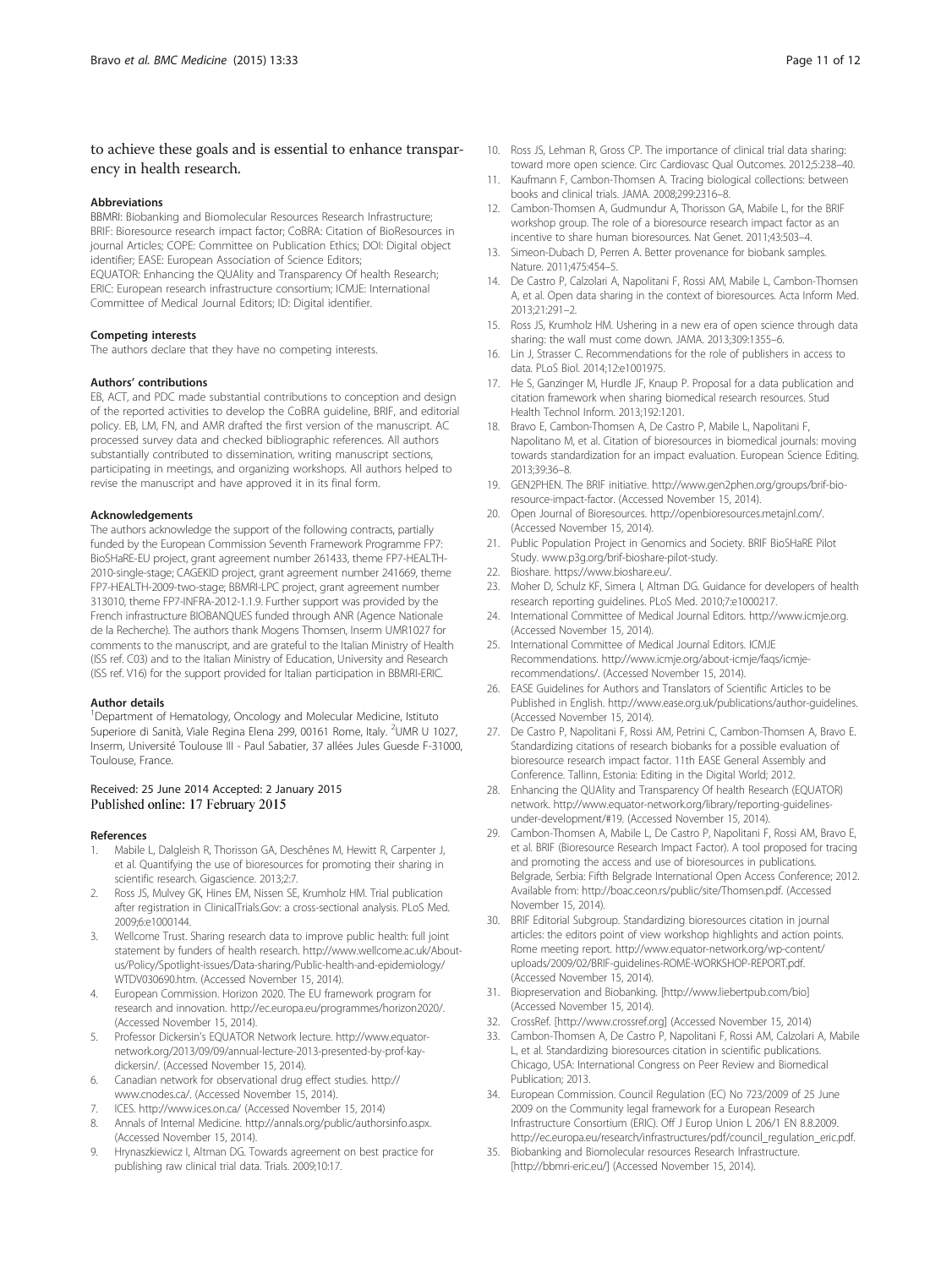#### <span id="page-10-0"></span>to achieve these goals and is essential to enhance transparency in health research.

#### Abbreviations

BBMRI: Biobanking and Biomolecular Resources Research Infrastructure; BRIF: Bioresource research impact factor; CoBRA: Citation of BioResources in journal Articles; COPE: Committee on Publication Ethics; DOI: Digital object identifier; EASE: European Association of Science Editors; EQUATOR: Enhancing the QUAlity and Transparency Of health Research; ERIC: European research infrastructure consortium; ICMJE: International Committee of Medical Journal Editors; ID: Digital identifier.

#### Competing interests

The authors declare that they have no competing interests.

#### Authors' contributions

EB, ACT, and PDC made substantial contributions to conception and design of the reported activities to develop the CoBRA guideline, BRIF, and editorial policy. EB, LM, FN, and AMR drafted the first version of the manuscript. AC processed survey data and checked bibliographic references. All authors substantially contributed to dissemination, writing manuscript sections, participating in meetings, and organizing workshops. All authors helped to revise the manuscript and have approved it in its final form.

#### Acknowledgements

The authors acknowledge the support of the following contracts, partially funded by the European Commission Seventh Framework Programme FP7: BioSHaRE-EU project, grant agreement number 261433, theme FP7-HEALTH-2010-single-stage; CAGEKID project, grant agreement number 241669, theme FP7-HEALTH-2009-two-stage; BBMRI-LPC project, grant agreement number 313010, theme FP7-INFRA-2012-1.1.9. Further support was provided by the French infrastructure BIOBANQUES funded through ANR (Agence Nationale de la Recherche). The authors thank Mogens Thomsen, Inserm UMR1027 for comments to the manuscript, and are grateful to the Italian Ministry of Health (ISS ref. C03) and to the Italian Ministry of Education, University and Research (ISS ref. V16) for the support provided for Italian participation in BBMRI-ERIC.

#### Author details

<sup>1</sup>Department of Hematology, Oncology and Molecular Medicine, Istituto Superiore di Sanità, Viale Regina Elena 299, 00161 Rome, Italy. <sup>2</sup>UMR U 1027, Inserm, Université Toulouse III - Paul Sabatier, 37 allées Jules Guesde F-31000, Toulouse, France.

#### Received: 25 June 2014 Accepted: 2 January 2015 Published online: 17 February 2015

#### References

- 1. Mabile L, Dalgleish R, Thorisson GA, Deschênes M, Hewitt R, Carpenter J, et al. Quantifying the use of bioresources for promoting their sharing in scientific research. Gigascience. 2013;2:7.
- 2. Ross JS, Mulvey GK, Hines EM, Nissen SE, Krumholz HM. Trial publication after registration in ClinicalTrials.Gov: a cross-sectional analysis. PLoS Med. 2009;6:e1000144.
- 3. Wellcome Trust. Sharing research data to improve public health: full joint statement by funders of health research. [http://www.wellcome.ac.uk/About](http://www.wellcome.ac.uk/About-us/Policy/Spotlight-issues/Data-sharing/Public-health-and-epidemiology/WTDV030690.htm)[us/Policy/Spotlight-issues/Data-sharing/Public-health-and-epidemiology/](http://www.wellcome.ac.uk/About-us/Policy/Spotlight-issues/Data-sharing/Public-health-and-epidemiology/WTDV030690.htm) [WTDV030690.htm](http://www.wellcome.ac.uk/About-us/Policy/Spotlight-issues/Data-sharing/Public-health-and-epidemiology/WTDV030690.htm). (Accessed November 15, 2014).
- 4. European Commission. Horizon 2020. The EU framework program for research and innovation.<http://ec.europa.eu/programmes/horizon2020/>. (Accessed November 15, 2014).
- 5. Professor Dickersin's EQUATOR Network lecture. [http://www.equator](http://www.equator-network.org/2013/09/09/annual-lecture-2013-presented-by-prof-kay-dickersin/)[network.org/2013/09/09/annual-lecture-2013-presented-by-prof-kay](http://www.equator-network.org/2013/09/09/annual-lecture-2013-presented-by-prof-kay-dickersin/)[dickersin/.](http://www.equator-network.org/2013/09/09/annual-lecture-2013-presented-by-prof-kay-dickersin/) (Accessed November 15, 2014).
- 6. Canadian network for observational drug effect studies. [http://](http://www.cnodes.ca/) [www.cnodes.ca/.](http://www.cnodes.ca/) (Accessed November 15, 2014).
- 7. ICES.<http://www.ices.on.ca/> (Accessed November 15, 2014)
- Annals of Internal Medicine. [http://annals.org/public/authorsinfo.aspx.](http://annals.org/public/authorsinfo.aspx) (Accessed November 15, 2014).
- 9. Hrynaszkiewicz I, Altman DG. Towards agreement on best practice for publishing raw clinical trial data. Trials. 2009;10:17.
- 10. Ross JS, Lehman R, Gross CP. The importance of clinical trial data sharing: toward more open science. Circ Cardiovasc Qual Outcomes. 2012;5:238–40.
- 11. Kaufmann F, Cambon-Thomsen A. Tracing biological collections: between books and clinical trials. JAMA. 2008;299:2316–8.
- 12. Cambon-Thomsen A, Gudmundur A, Thorisson GA, Mabile L, for the BRIF workshop group. The role of a bioresource research impact factor as an incentive to share human bioresources. Nat Genet. 2011;43:503–4.
- 13. Simeon-Dubach D, Perren A. Better provenance for biobank samples. Nature. 2011;475:454–5.
- 14. De Castro P, Calzolari A, Napolitani F, Rossi AM, Mabile L, Cambon-Thomsen A, et al. Open data sharing in the context of bioresources. Acta Inform Med. 2013;21:291–2.
- 15. Ross JS, Krumholz HM. Ushering in a new era of open science through data sharing: the wall must come down. JAMA. 2013;309:1355–6.
- 16. Lin J, Strasser C. Recommendations for the role of publishers in access to data. PLoS Biol. 2014;12:e1001975.
- 17. He S, Ganzinger M, Hurdle JF, Knaup P. Proposal for a data publication and citation framework when sharing biomedical research resources. Stud Health Technol Inform. 2013;192:1201.
- 18. Bravo E, Cambon-Thomsen A, De Castro P, Mabile L, Napolitani F, Napolitano M, et al. Citation of bioresources in biomedical journals: moving towards standardization for an impact evaluation. European Science Editing. 2013;39:36–8.
- 19. GEN2PHEN. The BRIF initiative. [http://www.gen2phen.org/groups/brif-bio](http://www.gen2phen.org/groups/brif-bio-resource-impact-factor)[resource-impact-factor.](http://www.gen2phen.org/groups/brif-bio-resource-impact-factor) (Accessed November 15, 2014).
- 20. Open Journal of Bioresources. [http://openbioresources.metajnl.com/.](http://openbioresources.metajnl.com/) (Accessed November 15, 2014).
- 21. Public Population Project in Genomics and Society. BRIF BioSHaRE Pilot Study. [www.p3g.org/brif-bioshare-pilot-study.](http://www.p3g.org/brif-bioshare-pilot-study)
- 22. Bioshare.<https://www.bioshare.eu/>.
- 23. Moher D, Schulz KF, Simera I, Altman DG. Guidance for developers of health research reporting guidelines. PLoS Med. 2010;7:e1000217.
- 24. International Committee of Medical Journal Editors. [http://www.icmje.org.](http://www.icmje.org) (Accessed November 15, 2014).
- 25. International Committee of Medical Journal Editors. ICMJE Recommendations. [http://www.icmje.org/about-icmje/faqs/icmje](http://www.icmje.org/about-icmje/faqs/icmje-recommendations/)[recommendations/](http://www.icmje.org/about-icmje/faqs/icmje-recommendations/). (Accessed November 15, 2014).
- 26. EASE Guidelines for Authors and Translators of Scientific Articles to be Published in English. [http://www.ease.org.uk/publications/author-guidelines.](http://www.ease.org.uk/publications/author-guidelines) (Accessed November 15, 2014).
- 27. De Castro P, Napolitani F, Rossi AM, Petrini C, Cambon-Thomsen A, Bravo E. Standardizing citations of research biobanks for a possible evaluation of bioresource research impact factor. 11th EASE General Assembly and Conference. Tallinn, Estonia: Editing in the Digital World; 2012.
- 28. Enhancing the QUAlity and Transparency Of health Research (EQUATOR) network. [http://www.equator-network.org/library/reporting-guidelines](http://www.equator-network.org/library/reporting-guidelines-under-development/#19)[under-development/#19](http://www.equator-network.org/library/reporting-guidelines-under-development/#19). (Accessed November 15, 2014).
- 29. Cambon-Thomsen A, Mabile L, De Castro P, Napolitani F, Rossi AM, Bravo E, et al. BRIF (Bioresource Research Impact Factor). A tool proposed for tracing and promoting the access and use of bioresources in publications. Belgrade, Serbia: Fifth Belgrade International Open Access Conference; 2012. Available from: [http://boac.ceon.rs/public/site/Thomsen.pdf.](http://boac.ceon.rs/public/site/Thomsen.pdf) (Accessed November 15, 2014).
- 30. BRIF Editorial Subgroup. Standardizing bioresources citation in journal articles: the editors point of view workshop highlights and action points. Rome meeting report. [http://www.equator-network.org/wp-content/](http://www.equator-network.org/wp-content/uploads/2009/02/BRIF-guidelines-ROME-WORKSHOP-REPORT.pdf) [uploads/2009/02/BRIF-guidelines-ROME-WORKSHOP-REPORT.pdf.](http://www.equator-network.org/wp-content/uploads/2009/02/BRIF-guidelines-ROME-WORKSHOP-REPORT.pdf) (Accessed November 15, 2014).
- 31. Biopreservation and Biobanking. [[http://www.liebertpub.com/bio\]](http://www.liebertpub.com/bio) (Accessed November 15, 2014).
- 32. CrossRef. [[http://www.crossref.org\]](http://www.crossref.org/) (Accessed November 15, 2014)
- 33. Cambon-Thomsen A, De Castro P, Napolitani F, Rossi AM, Calzolari A, Mabile L, et al. Standardizing bioresources citation in scientific publications. Chicago, USA: International Congress on Peer Review and Biomedical Publication; 2013.
- 34. European Commission. Council Regulation (EC) No 723/2009 of 25 June 2009 on the Community legal framework for a European Research Infrastructure Consortium (ERIC). Off J Europ Union L 206/1 EN 8.8.2009. [http://ec.europa.eu/research/infrastructures/pdf/council\\_regulation\\_eric.pdf](http://ec.europa.eu/research/infrastructures/pdf/council_regulation_eric.pdf).
- 35. Biobanking and Biomolecular resources Research Infrastructure. [[http://bbmri-eric.eu/\]](http://bbmri-eric.eu/) (Accessed November 15, 2014).